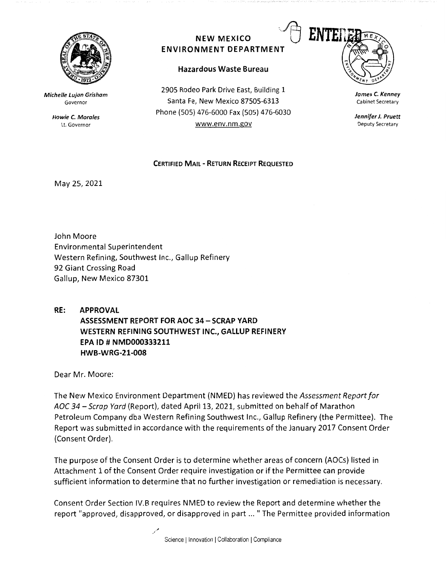

**Michelle Lujan Grisham**  Governor

> **Howie C. Morales**  Lt. Governor

## **NEW MEXICO ENVIRONMENT DEPARTMENT**

## **Hazardous Waste Bureau**

2905 Rodeo Park Drive East, Building 1 Santa Fe, New Mexico 87505-6313 Phone (SOS) 476-6000 Fax (505) 476-6030 www.env.nm.gov



**James C. Kenney**  Cabinet Secretary

**Jennifer J. Pruett**  Deputy Secretary

## **CERTIFIED MAIL** - **RETURN RECEIPT REQUESTED**

May 25, 2021

John Moore Environmental Superintendent Western Refining, Southwest Inc., Gallup Refinery 92 Giant Crossing Road Gallup, New Mexico 87301

**RE: APPROVAL ASSESSMENT REPORT FOR AOC 34- SCRAP YARD WESTERN REFINING SOUTHWEST INC., GALLUP REFINERY EPA** ID# **NMD000333211 HWB-WRG-21-008** 

Dear Mr. Moore:

The New Mexico Environment Department (NMED) has reviewed the *Assessment Report for*  AOC 34 - Scrap Yard (Report), dated April 13, 2021, submitted on behalf of Marathon Petroleum Company dba Western Refining Southwest Inc., Gallup Refinery (the Permittee). The Report was submitted in accordance with the requirements of the January 2017 Consent Order (Consent Order).

The purpose of the Consent Order is to determine whether areas of concern (AOCs) listed in Attachment 1 of the Consent Order require investigation or if the Permittee can provide sufficient information to determine that no further investigation or remediation is necessary.

Consent Order Section IV.B requires NMED to review the Report and determine whether the report "approved, disapproved, or disapproved in part ... "The Permittee provided information